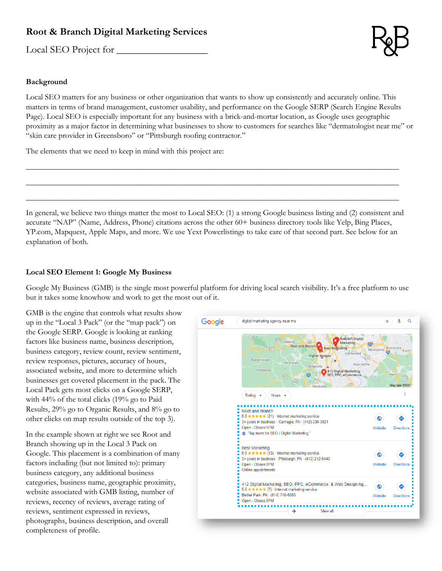# **Root & Branch Digital Marketing Services**

Local SEO Project for



### **Background**

Local SEO matters for any business or other organization that wants to show up consistently and accurately online. This matters in terms of brand management, customer usability, and performance on the Google SERP (Search Engine Results Page). Local SEO is especially important for any business with a brick-and-mortar location, as Google uses geographic proximity as a major factor in determining what businesses to show to customers for searches like "dermatologist near me" or "skin care provider in Greensboro" or "Pittsburgh roofing contractor."

The elements that we need to keep in mind with this project are:

In general, we believe two things matter the most to Local SEO: (1) a strong Google business listing and (2) consistent and accurate "NAP" (Name, Address, Phone) citations across the other 60+ business directory tools like Yelp, Bing Places, YP.com, Mapquest, Apple Maps, and more. We use Yext Powerlistings to take care of that second part. See below for an explanation of both.

\_\_\_\_\_\_\_\_\_\_\_\_\_\_\_\_\_\_\_\_\_\_\_\_\_\_\_\_\_\_\_\_\_\_\_\_\_\_\_\_\_\_\_\_\_\_\_\_\_\_\_\_\_\_\_\_\_\_\_\_\_\_\_\_\_\_\_\_\_\_\_\_\_\_\_\_\_\_\_\_\_\_\_\_\_\_\_\_\_\_\_\_\_\_

\_\_\_\_\_\_\_\_\_\_\_\_\_\_\_\_\_\_\_\_\_\_\_\_\_\_\_\_\_\_\_\_\_\_\_\_\_\_\_\_\_\_\_\_\_\_\_\_\_\_\_\_\_\_\_\_\_\_\_\_\_\_\_\_\_\_\_\_\_\_\_\_\_\_\_\_\_\_\_\_\_\_\_\_\_\_\_\_\_\_\_\_\_\_

\_\_\_\_\_\_\_\_\_\_\_\_\_\_\_\_\_\_\_\_\_\_\_\_\_\_\_\_\_\_\_\_\_\_\_\_\_\_\_\_\_\_\_\_\_\_\_\_\_\_\_\_\_\_\_\_\_\_\_\_\_\_\_\_\_\_\_\_\_\_\_\_\_\_\_\_\_\_\_\_\_\_\_\_\_\_\_\_\_\_\_\_\_\_

### **Local SEO Element 1: Google My Business**

Google My Business (GMB) is the single most powerful platform for driving local search visibility. It's a free platform to use but it takes some knowhow and work to get the most out of it.

GMB is the engine that controls what results show up in the "Local 3 Pack" (or the "map pack") on the Google SERP. Google is looking at ranking factors like business name, business description, business category, review count, review sentiment, review responses, pictures, accuracy of hours, associated website, and more to determine which businesses get coveted placement in the pack. The Local Pack gets most clicks on a Google SERP, with 44% of the total clicks (19% go to Paid Results, 29% go to Organic Results, and 8% go to other clicks on map results outside of the top 3).

In the example shown at right we see Root and Branch showing up in the Local 3 Pack on Google. This placement is a combination of many factors including (but not limited to): primary business category, any additional business categories, business name, geographic proximity, website associated with GMB listing, number of reviews, recency of reviews, average rating of reviews, sentiment expressed in reviews, photographs, business description, and overall completeness of profile.

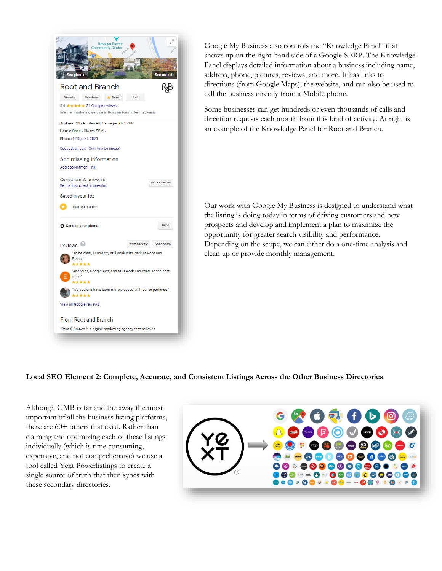

Google My Business also controls the "Knowledge Panel" that shows up on the right-hand side of a Google SERP. The Knowledge Panel displays detailed information about a business including name, address, phone, pictures, reviews, and more. It has links to directions (from Google Maps), the website, and can also be used to call the business directly from a Mobile phone.

Some businesses can get hundreds or even thousands of calls and direction requests each month from this kind of activity. At right is an example of the Knowledge Panel for Root and Branch.

Our work with Google My Business is designed to understand what the listing is doing today in terms of driving customers and new prospects and develop and implement a plan to maximize the opportunity for greater search visibility and performance. Depending on the scope, we can either do a one-time analysis and clean up or provide monthly management.

### **Local SEO Element 2: Complete, Accurate, and Consistent Listings Across the Other Business Directories**

Although GMB is far and the away the most important of all the business listing platforms, there are 60+ others that exist. Rather than claiming and optimizing each of these listings individually (which is time consuming, expensive, and not comprehensive) we use a tool called Yext Powerlistings to create a single source of truth that then syncs with these secondary directories.

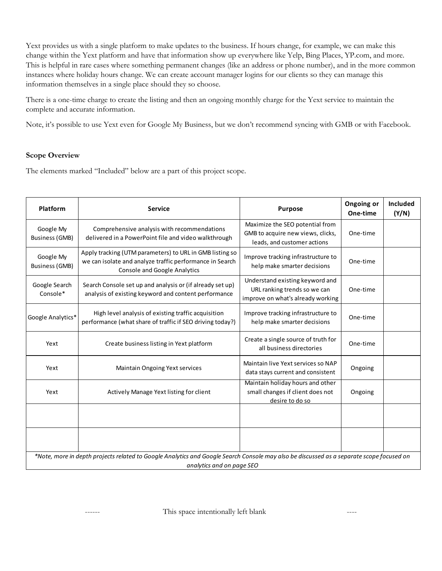Yext provides us with a single platform to make updates to the business. If hours change, for example, we can make this change within the Yext platform and have that information show up everywhere like Yelp, Bing Places, YP.com, and more. This is helpful in rare cases where something permanent changes (like an address or phone number), and in the more common instances where holiday hours change. We can create account manager logins for our clients so they can manage this information themselves in a single place should they so choose.

There is a one-time charge to create the listing and then an ongoing monthly charge for the Yext service to maintain the complete and accurate information.

Note, it's possible to use Yext even for Google My Business, but we don't recommend syncing with GMB or with Facebook.

### **Scope Overview**

The elements marked "Included" below are a part of this project scope.

| Platform                                                                                                                                                              | <b>Service</b>                                                                                                                                              | <b>Purpose</b>                                                                                       | Ongoing or<br>One-time | <b>Included</b><br>(Y/N) |
|-----------------------------------------------------------------------------------------------------------------------------------------------------------------------|-------------------------------------------------------------------------------------------------------------------------------------------------------------|------------------------------------------------------------------------------------------------------|------------------------|--------------------------|
| Google My<br><b>Business (GMB)</b>                                                                                                                                    | Comprehensive analysis with recommendations<br>delivered in a PowerPoint file and video walkthrough                                                         | Maximize the SEO potential from<br>GMB to acquire new views, clicks,<br>leads, and customer actions  | One-time               |                          |
| Google My<br><b>Business (GMB)</b>                                                                                                                                    | Apply tracking (UTM parameters) to URL in GMB listing so<br>we can isolate and analyze traffic performance in Search<br><b>Console and Google Analytics</b> | Improve tracking infrastructure to<br>help make smarter decisions                                    | One-time               |                          |
| Google Search<br>Console*                                                                                                                                             | Search Console set up and analysis or (if already set up)<br>analysis of existing keyword and content performance                                           | Understand existing keyword and<br>URL ranking trends so we can<br>improve on what's already working | One-time               |                          |
| Google Analytics*                                                                                                                                                     | High level analysis of existing traffic acquisition<br>performance (what share of traffic if SEO driving today?)                                            | Improve tracking infrastructure to<br>help make smarter decisions                                    | One-time               |                          |
| Yext                                                                                                                                                                  | Create business listing in Yext platform                                                                                                                    | Create a single source of truth for<br>all business directories                                      | One-time               |                          |
| Yext                                                                                                                                                                  | Maintain Ongoing Yext services                                                                                                                              | Maintain live Yext services so NAP<br>data stays current and consistent                              | Ongoing                |                          |
| Yext                                                                                                                                                                  | Actively Manage Yext listing for client                                                                                                                     | Maintain holiday hours and other<br>small changes if client does not<br>desire to do so              | Ongoing                |                          |
|                                                                                                                                                                       |                                                                                                                                                             |                                                                                                      |                        |                          |
|                                                                                                                                                                       |                                                                                                                                                             |                                                                                                      |                        |                          |
| *Note, more in depth projects related to Google Analytics and Google Search Console may also be discussed as a separate scope focused on<br>analytics and on page SEO |                                                                                                                                                             |                                                                                                      |                        |                          |